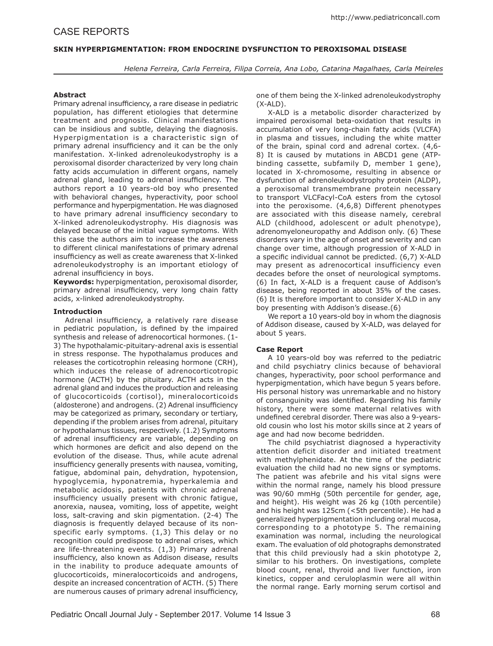# **SKIN HYPERPIGMENTATION: FROM ENDOCRINE DYSFUNCTION TO PEROXISOMAL DISEASE**

*Helena Ferreira, Carla Ferreira, Filipa Correia, Ana Lobo, Catarina Magalhaes, Carla Meireles*

### **Abstract**

Primary adrenal insufficiency, a rare disease in pediatric population, has different etiologies that determine treatment and prognosis. Clinical manifestations can be insidious and subtle, delaying the diagnosis. Hyperpigmentation is a characteristic sign of primary adrenal insufficiency and it can be the only manifestation. X-linked adrenoleukodystrophy is a peroxisomal disorder characterized by very long chain fatty acids accumulation in different organs, namely adrenal gland, leading to adrenal insufficiency. The authors report a 10 years-old boy who presented with behavioral changes, hyperactivity, poor school performance and hyperpigmentation. He was diagnosed to have primary adrenal insufficiency secondary to X-linked adrenoleukodystrophy. His diagnosis was delayed because of the initial vague symptoms. With this case the authors aim to increase the awareness to different clinical manifestations of primary adrenal insufficiency as well as create awareness that X-linked adrenoleukodystrophy is an important etiology of adrenal insufficiency in boys.

**Keywords:** hyperpigmentation, peroxisomal disorder, primary adrenal insufficiency, very long chain fatty acids, x-linked adrenoleukodystrophy.

# **Introduction**

Adrenal insufficiency, a relatively rare disease in pediatric population, is defined by the impaired synthesis and release of adrenocortical hormones. (1- 3) The hypothalamic-pituitary-adrenal axis is essential in stress response. The hypothalamus produces and releases the corticotrophin releasing hormone (CRH), which induces the release of adrenocorticotropic hormone (ACTH) by the pituitary. ACTH acts in the adrenal gland and induces the production and releasing of glucocorticoids (cortisol), mineralocorticoids (aldosterone) and androgens. (2) Adrenal insufficiency may be categorized as primary, secondary or tertiary, depending if the problem arises from adrenal, pituitary or hypothalamus tissues, respectively. (1.2) Symptoms of adrenal insufficiency are variable, depending on which hormones are deficit and also depend on the evolution of the disease. Thus, while acute adrenal insufficiency generally presents with nausea, vomiting, fatigue, abdominal pain, dehydration, hypotension, hypoglycemia, hyponatremia, hyperkalemia and metabolic acidosis, patients with chronic adrenal insufficiency usually present with chronic fatigue, anorexia, nausea, vomiting, loss of appetite, weight loss, salt-craving and skin pigmentation. (2-4) The diagnosis is frequently delayed because of its nonspecific early symptoms. (1,3) This delay or no recognition could predispose to adrenal crises, which are life-threatening events. (1,3) Primary adrenal insufficiency, also known as Addison disease, results in the inability to produce adequate amounts of glucocorticoids, mineralocorticoids and androgens, despite an increased concentration of ACTH. (5) There are numerous causes of primary adrenal insufficiency,

one of them being the X-linked adrenoleukodystrophy (X-ALD).

X-ALD is a metabolic disorder characterized by impaired peroxisomal beta-oxidation that results in accumulation of very long-chain fatty acids (VLCFA) in plasma and tissues, including the white matter of the brain, spinal cord and adrenal cortex. (4,6- 8) It is caused by mutations in ABCD1 gene (ATPbinding cassette, subfamily D, member 1 gene), located in X-chromosome, resulting in absence or dysfunction of adrenoleukodystrophy protein (ALDP), a peroxisomal transmembrane protein necessary to transport VLCFacyl-CoA esters from the cytosol into the peroxisome. (4,6,8) Different phenotypes are associated with this disease namely, cerebral ALD (childhood, adolescent or adult phenotype), adrenomyeloneuropathy and Addison only. (6) These disorders vary in the age of onset and severity and can change over time, although progression of X-ALD in a specific individual cannot be predicted. (6,7) X-ALD may present as adrenocortical insufficiency even decades before the onset of neurological symptoms. (6) In fact, X-ALD is a frequent cause of Addison's disease, being reported in about 35% of the cases. (6) It is therefore important to consider X-ALD in any boy presenting with Addison's disease.(6)

We report a 10 years-old boy in whom the diagnosis of Addison disease, caused by X-ALD, was delayed for about 5 years.

# **Case Report**

A 10 years-old boy was referred to the pediatric and child psychiatry clinics because of behavioral changes, hyperactivity, poor school performance and hyperpigmentation, which have begun 5 years before. His personal history was unremarkable and no history of consanguinity was identified. Regarding his family history, there were some maternal relatives with undefined cerebral disorder. There was also a 9-yearsold cousin who lost his motor skills since at 2 years of age and had now become bedridden.

The child psychiatrist diagnosed a hyperactivity attention deficit disorder and initiated treatment with methylphenidate. At the time of the pediatric evaluation the child had no new signs or symptoms. The patient was afebrile and his vital signs were within the normal range, namely his blood pressure was 90/60 mmHg (50th percentile for gender, age, and height). His weight was 26 kg (10th percentile) and his height was 125cm (<5th percentile). He had a generalized hyperpigmentation including oral mucosa, corresponding to a phototype 5. The remaining examination was normal, including the neurological exam. The evaluation of old photographs demonstrated that this child previously had a skin phototype 2, similar to his brothers. On investigations, complete blood count, renal, thyroid and liver function, iron kinetics, copper and ceruloplasmin were all within the normal range. Early morning serum cortisol and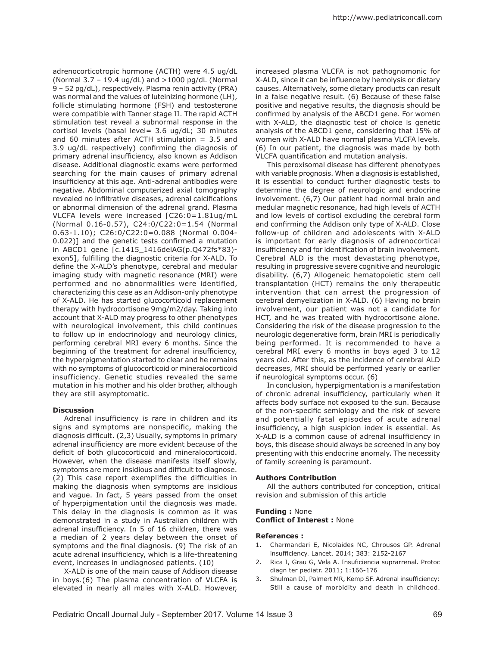adrenocorticotropic hormone (ACTH) were 4.5 ug/dL (Normal  $3.7 - 19.4$  ug/dL) and  $>1000$  pg/dL (Normal 9 – 52 pg/dL), respectively. Plasma renin activity (PRA) was normal and the values of luteinizing hormone (LH), follicle stimulating hormone (FSH) and testosterone were compatible with Tanner stage II. The rapid ACTH stimulation test reveal a subnormal response in the cortisol levels (basal level= 3.6 ug/dL; 30 minutes and 60 minutes after ACTH stimulation  $= 3.5$  and 3.9 ug/dL respectively) confirming the diagnosis of primary adrenal insufficiency, also known as Addison disease. Additional diagnostic exams were performed searching for the main causes of primary adrenal insufficiency at this age. Anti-adrenal antibodies were negative. Abdominal computerized axial tomography revealed no infiltrative diseases, adrenal calcifications or abnormal dimension of the adrenal grand. Plasma VLCFA levels were increased [C26:0=1.81ug/mL (Normal 0.16-0.57), C24:0/C22:0=1.54 (Normal 0.63-1.10); C26:0/C22:0=0.088 (Normal 0.004- 0.022)] and the genetic tests confirmed a mutation in ABCD1 gene [c.1415\_1416delAG(p.Q472fs\*83) exon5], fulfilling the diagnostic criteria for X-ALD. To define the X-ALD's phenotype, cerebral and medular imaging study with magnetic resonance (MRI) were performed and no abnormalities were identified, characterizing this case as an Addison-only phenotype of X-ALD. He has started glucocorticoid replacement therapy with hydrocortisone 9mg/m2/day. Taking into account that X-ALD may progress to other phenotypes with neurological involvement, this child continues to follow up in endocrinology and neurology clinics, performing cerebral MRI every 6 months. Since the beginning of the treatment for adrenal insufficiency, the hyperpigmentation started to clear and he remains with no symptoms of glucocorticoid or mineralocorticoid insufficiency. Genetic studies revealed the same mutation in his mother and his older brother, although they are still asymptomatic.

### **Discussion**

Adrenal insufficiency is rare in children and its signs and symptoms are nonspecific, making the diagnosis difficult. (2,3) Usually, symptoms in primary adrenal insufficiency are more evident because of the deficit of both glucocorticoid and mineralocorticoid. However, when the disease manifests itself slowly, symptoms are more insidious and difficult to diagnose. (2) This case report exemplifies the difficulties in making the diagnosis when symptoms are insidious and vague. In fact, 5 years passed from the onset of hyperpigmentation until the diagnosis was made. This delay in the diagnosis is common as it was demonstrated in a study in Australian children with adrenal insufficiency. In 5 of 16 children, there was a median of 2 years delay between the onset of symptoms and the final diagnosis. (9) The risk of an acute adrenal insufficiency, which is a life-threatening event, increases in undiagnosed patients. (10)

X-ALD is one of the main cause of Addison disease in boys.(6) The plasma concentration of VLCFA is elevated in nearly all males with X-ALD. However,

increased plasma VLCFA is not pathognomonic for X-ALD, since it can be influence by hemolysis or dietary causes. Alternatively, some dietary products can result in a false negative result. (6) Because of these false positive and negative results, the diagnosis should be confirmed by analysis of the ABCD1 gene. For women with X-ALD, the diagnostic test of choice is genetic analysis of the ABCD1 gene, considering that 15% of women with X-ALD have normal plasma VLCFA levels. (6) In our patient, the diagnosis was made by both VLCFA quantification and mutation analysis.

This peroxisomal disease has different phenotypes with variable prognosis. When a diagnosis is established, it is essential to conduct further diagnostic tests to determine the degree of neurologic and endocrine involvement. (6,7) Our patient had normal brain and medular magnetic resonance, had high levels of ACTH and low levels of cortisol excluding the cerebral form and confirming the Addison only type of X-ALD. Close follow-up of children and adolescents with X-ALD is important for early diagnosis of adrenocortical insufficiency and for identification of brain involvement. Cerebral ALD is the most devastating phenotype, resulting in progressive severe cognitive and neurologic disability. (6,7) Allogeneic hematopoietic stem cell transplantation (HCT) remains the only therapeutic intervention that can arrest the progression of cerebral demyelization in X-ALD. (6) Having no brain involvement, our patient was not a candidate for HCT, and he was treated with hydrocortisone alone. Considering the risk of the disease progression to the neurologic degenerative form, brain MRI is periodically being performed. It is recommended to have a cerebral MRI every 6 months in boys aged 3 to 12 years old. After this, as the incidence of cerebral ALD decreases, MRI should be performed yearly or earlier if neurological symptoms occur. (6)

In conclusion, hyperpigmentation is a manifestation of chronic adrenal insufficiency, particularly when it affects body surface not exposed to the sun. Because of the non-specific semiology and the risk of severe and potentially fatal episodes of acute adrenal insufficiency, a high suspicion index is essential. As X-ALD is a common cause of adrenal insufficiency in boys, this disease should always be screened in any boy presenting with this endocrine anomaly. The necessity of family screening is paramount.

#### **Authors Contribution**

All the authors contributed for conception, critical revision and submission of this article

### **Funding :** None **Conflict of Interest :** None

### **References :**

- 1. Charmandari E, Nicolaides NC, Chrousos GP. Adrenal insufficiency. Lancet. 2014; 383: 2152-2167
- 2. Rica I, Grau G, Vela A. Insuficiencia suprarrenal. Protoc diagn ter pediatr. 2011; 1:166-176
- 3. Shulman DI, Palmert MR, Kemp SF. Adrenal insufficiency: Still a cause of morbidity and death in childhood.